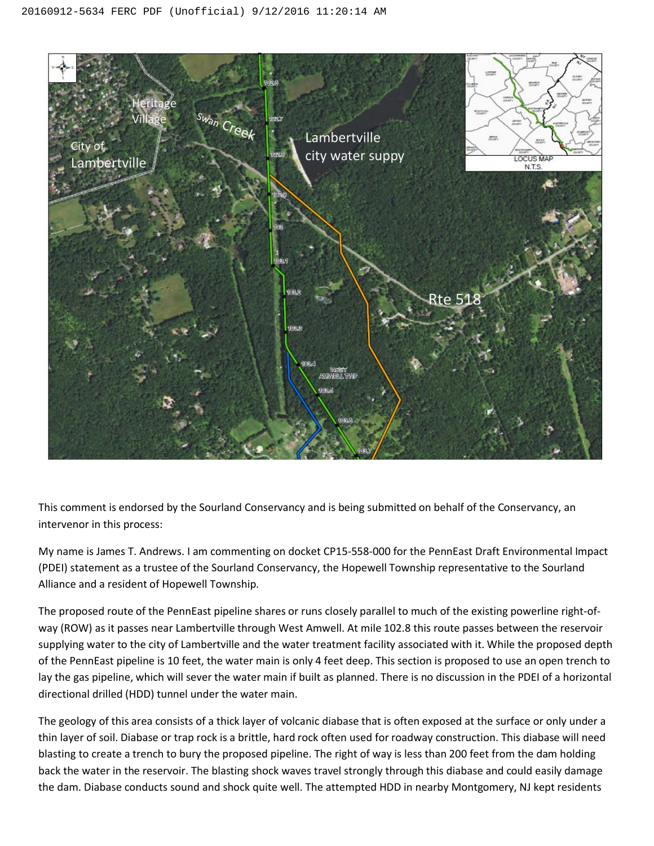

This comment is endorsed by the Sourland Conservancy and is being submitted on behalf of the Conservancy, an intervenor in this process:

My name is James T. Andrews. I am commenting on docket CP15-558-000 for the PennEast Draft Environmental Impact (PDEI) statement as a trustee of the Sourland Conservancy, the Hopewell Township representative to the Sourland Alliance and a resident of Hopewell Township.

The proposed route of the PennEast pipeline shares or runs closely parallel to much of the existing powerline right-ofway (ROW) as it passes near Lambertville through West Amwell. At mile 102.8 this route passes between the reservoir supplying water to the city of Lambertville and the water treatment facility associated with it. While the proposed depth of the PennEast pipeline is 10 feet, the water main is only 4 feet deep. This section is proposed to use an open trench to lay the gas pipeline, which will sever the water main if built as planned. There is no discussion in the PDEI of a horizontal directional drilled (HDD) tunnel under the water main.

The geology of this area consists of a thick layer of volcanic diabase that is often exposed at the surface or only under a thin layer of soil. Diabase or trap rock is a brittle, hard rock often used for roadway construction. This diabase will need blasting to create a trench to bury the proposed pipeline. The right of way is less than 200 feet from the dam holding back the water in the reservoir. The blasting shock waves travel strongly through this diabase and could easily damage the dam. Diabase conducts sound and shock quite well. The attempted HDD in nearby Montgomery, NJ kept residents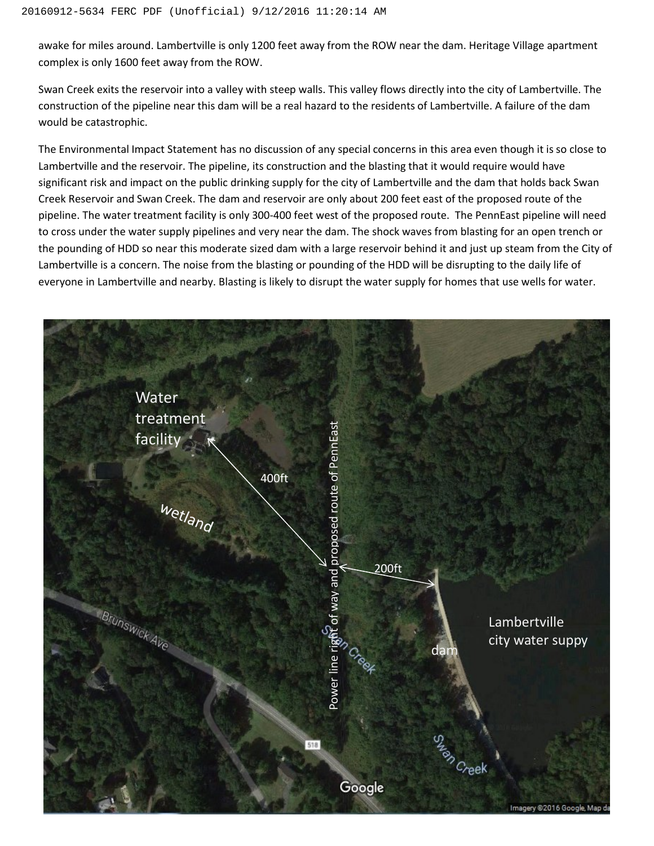awake for miles around. Lambertville is only 1200 feet away from the ROW near the dam. Heritage Village apartment complex is only 1600 feet away from the ROW.

Swan Creek exits the reservoir into a valley with steep walls. This valley flows directly into the city of Lambertville. The construction of the pipeline near this dam will be a real hazard to the residents of Lambertville. A failure of the dam would be catastrophic.

The Environmental Impact Statement has no discussion of any special concerns in this area even though it is so close to Lambertville and the reservoir. The pipeline, its construction and the blasting that it would require would have significant risk and impact on the public drinking supply for the city of Lambertville and the dam that holds back Swan Creek Reservoir and Swan Creek. The dam and reservoir are only about 200 feet east of the proposed route of the pipeline. The water treatment facility is only 300-400 feet west of the proposed route. The PennEast pipeline will need to cross under the water supply pipelines and very near the dam. The shock waves from blasting for an open trench or the pounding of HDD so near this moderate sized dam with a large reservoir behind it and just up steam from the City of Lambertville is a concern. The noise from the blasting or pounding of the HDD will be disrupting to the daily life of everyone in Lambertville and nearby. Blasting is likely to disrupt the water supply for homes that use wells for water.